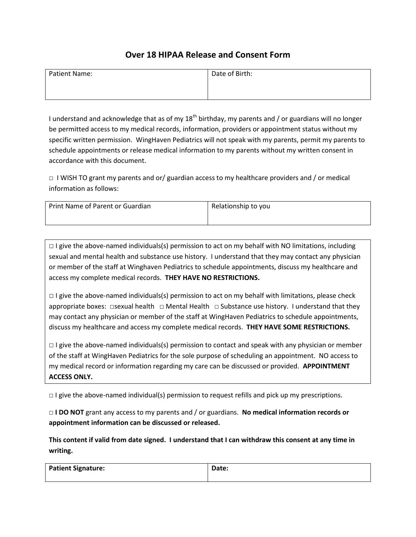## **Over 18 HIPAA Release and Consent Form**

| Patient Name: | Date of Birth: |
|---------------|----------------|
|               |                |

I understand and acknowledge that as of my  $18<sup>th</sup>$  birthday, my parents and / or guardians will no longer be permitted access to my medical records, information, providers or appointment status without my specific written permission. WingHaven Pediatrics will not speak with my parents, permit my parents to schedule appointments or release medical information to my parents without my written consent in accordance with this document.

□ I WISH TO grant my parents and or/ guardian access to my healthcare providers and / or medical information as follows:

| Print Name of Parent or Guardian | Relationship to you |
|----------------------------------|---------------------|
|                                  |                     |

 $\Box$  I give the above-named individuals(s) permission to act on my behalf with NO limitations, including sexual and mental health and substance use history. I understand that they may contact any physician or member of the staff at Winghaven Pediatrics to schedule appointments, discuss my healthcare and access my complete medical records. **THEY HAVE NO RESTRICTIONS.** 

 $\Box$  I give the above-named individuals(s) permission to act on my behalf with limitations, please check appropriate boxes: □sexual health □ Mental Health □ Substance use history. I understand that they may contact any physician or member of the staff at WingHaven Pediatrics to schedule appointments, discuss my healthcare and access my complete medical records. **THEY HAVE SOME RESTRICTIONS.** 

**□** I give the above-named individuals(s) permission to contact and speak with any physician or member of the staff at WingHaven Pediatrics for the sole purpose of scheduling an appointment. NO access to my medical record or information regarding my care can be discussed or provided. **APPOINTMENT ACCESS ONLY.** 

 $\Box$  I give the above-named individual(s) permission to request refills and pick up my prescriptions.

□ **I DO NOT** grant any access to my parents and / or guardians. **No medical information records or appointment information can be discussed or released.** 

**This content if valid from date signed. I understand that I can withdraw this consent at any time in writing.** 

| <b>Patient Signature:</b> | Date: |
|---------------------------|-------|
|                           |       |